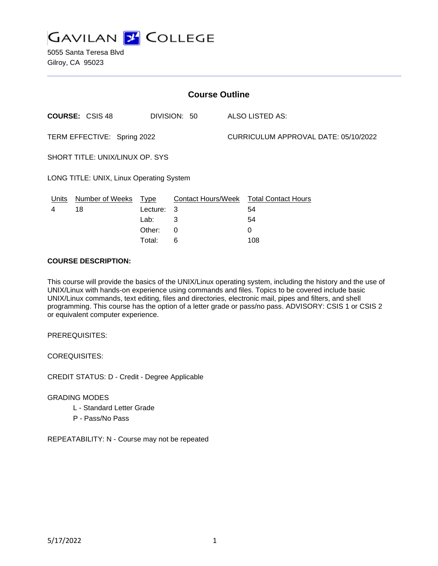

5055 Santa Teresa Blvd Gilroy, CA 95023

| <b>Course Outline</b>                    |                        |             |              |                                      |                                        |
|------------------------------------------|------------------------|-------------|--------------|--------------------------------------|----------------------------------------|
|                                          | <b>COURSE: CSIS 48</b> |             | DIVISION: 50 |                                      | ALSO LISTED AS:                        |
| TERM EFFECTIVE: Spring 2022              |                        |             |              | CURRICULUM APPROVAL DATE: 05/10/2022 |                                        |
| SHORT TITLE: UNIX/LINUX OP. SYS          |                        |             |              |                                      |                                        |
| LONG TITLE: UNIX, Linux Operating System |                        |             |              |                                      |                                        |
| Units                                    | Number of Weeks        | <u>Type</u> |              |                                      | Contact Hours/Week Total Contact Hours |
| 4                                        | 18                     | Lecture:    | -3           |                                      | 54                                     |
|                                          |                        | Lab:        | 3            |                                      | 54                                     |
|                                          |                        | Other:      | 0            |                                      | 0                                      |

Total: 6 108

#### **COURSE DESCRIPTION:**

This course will provide the basics of the UNIX/Linux operating system, including the history and the use of UNIX/Linux with hands-on experience using commands and files. Topics to be covered include basic UNIX/Linux commands, text editing, files and directories, electronic mail, pipes and filters, and shell programming. This course has the option of a letter grade or pass/no pass. ADVISORY: CSIS 1 or CSIS 2 or equivalent computer experience.

PREREQUISITES:

COREQUISITES:

CREDIT STATUS: D - Credit - Degree Applicable

## GRADING MODES

- L Standard Letter Grade
- P Pass/No Pass

REPEATABILITY: N - Course may not be repeated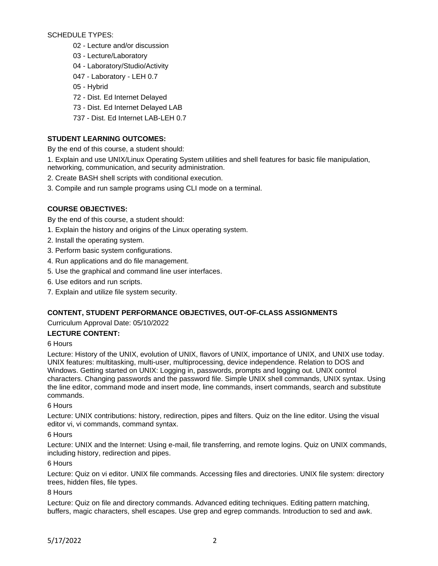## SCHEDULE TYPES:

- 02 Lecture and/or discussion
- 03 Lecture/Laboratory
- 04 Laboratory/Studio/Activity
- 047 Laboratory LEH 0.7
- 05 Hybrid
- 72 Dist. Ed Internet Delayed
- 73 Dist. Ed Internet Delayed LAB
- 737 Dist. Ed Internet LAB-LEH 0.7

# **STUDENT LEARNING OUTCOMES:**

By the end of this course, a student should:

1. Explain and use UNIX/Linux Operating System utilities and shell features for basic file manipulation, networking, communication, and security administration.

- 2. Create BASH shell scripts with conditional execution.
- 3. Compile and run sample programs using CLI mode on a terminal.

## **COURSE OBJECTIVES:**

By the end of this course, a student should:

- 1. Explain the history and origins of the Linux operating system.
- 2. Install the operating system.
- 3. Perform basic system configurations.
- 4. Run applications and do file management.
- 5. Use the graphical and command line user interfaces.
- 6. Use editors and run scripts.
- 7. Explain and utilize file system security.

# **CONTENT, STUDENT PERFORMANCE OBJECTIVES, OUT-OF-CLASS ASSIGNMENTS**

Curriculum Approval Date: 05/10/2022

## **LECTURE CONTENT:**

## 6 Hours

Lecture: History of the UNIX, evolution of UNIX, flavors of UNIX, importance of UNIX, and UNIX use today. UNIX features: multitasking, multi-user, multiprocessing, device independence. Relation to DOS and Windows. Getting started on UNIX: Logging in, passwords, prompts and logging out. UNIX control characters. Changing passwords and the password file. Simple UNIX shell commands, UNIX syntax. Using the line editor, command mode and insert mode, line commands, insert commands, search and substitute commands.

6 Hours

Lecture: UNIX contributions: history, redirection, pipes and filters. Quiz on the line editor. Using the visual editor vi, vi commands, command syntax.

6 Hours

Lecture: UNIX and the Internet: Using e-mail, file transferring, and remote logins. Quiz on UNIX commands, including history, redirection and pipes.

## 6 Hours

Lecture: Quiz on vi editor. UNIX file commands. Accessing files and directories. UNIX file system: directory trees, hidden files, file types.

8 Hours

Lecture: Quiz on file and directory commands. Advanced editing techniques. Editing pattern matching, buffers, magic characters, shell escapes. Use grep and egrep commands. Introduction to sed and awk.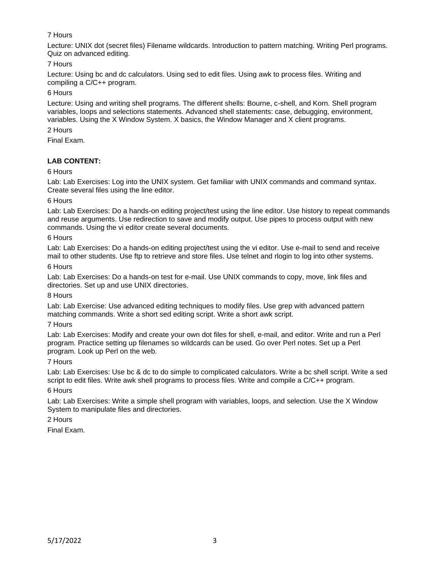# 7 Hours

Lecture: UNIX dot (secret files) Filename wildcards. Introduction to pattern matching. Writing Perl programs. Quiz on advanced editing.

7 Hours

Lecture: Using bc and dc calculators. Using sed to edit files. Using awk to process files. Writing and compiling a C/C++ program.

## 6 Hours

Lecture: Using and writing shell programs. The different shells: Bourne, c-shell, and Korn. Shell program variables, loops and selections statements. Advanced shell statements: case, debugging, environment, variables. Using the X Window System. X basics, the Window Manager and X client programs.

# 2 Hours

Final Exam.

# **LAB CONTENT:**

## 6 Hours

Lab: Lab Exercises: Log into the UNIX system. Get familiar with UNIX commands and command syntax. Create several files using the line editor.

## 6 Hours

Lab: Lab Exercises: Do a hands-on editing project/test using the line editor. Use history to repeat commands and reuse arguments. Use redirection to save and modify output. Use pipes to process output with new commands. Using the vi editor create several documents.

## 6 Hours

Lab: Lab Exercises: Do a hands-on editing project/test using the vi editor. Use e-mail to send and receive mail to other students. Use ftp to retrieve and store files. Use telnet and rlogin to log into other systems.

## 6 Hours

Lab: Lab Exercises: Do a hands-on test for e-mail. Use UNIX commands to copy, move, link files and directories. Set up and use UNIX directories.

## 8 Hours

Lab: Lab Exercise: Use advanced editing techniques to modify files. Use grep with advanced pattern matching commands. Write a short sed editing script. Write a short awk script.

## 7 Hours

Lab: Lab Exercises: Modify and create your own dot files for shell, e-mail, and editor. Write and run a Perl program. Practice setting up filenames so wildcards can be used. Go over Perl notes. Set up a Perl program. Look up Perl on the web.

# 7 Hours

Lab: Lab Exercises: Use bc & dc to do simple to complicated calculators. Write a bc shell script. Write a sed script to edit files. Write awk shell programs to process files. Write and compile a C/C++ program.

## 6 Hours

Lab: Lab Exercises: Write a simple shell program with variables, loops, and selection. Use the X Window System to manipulate files and directories.

# 2 Hours

Final Exam.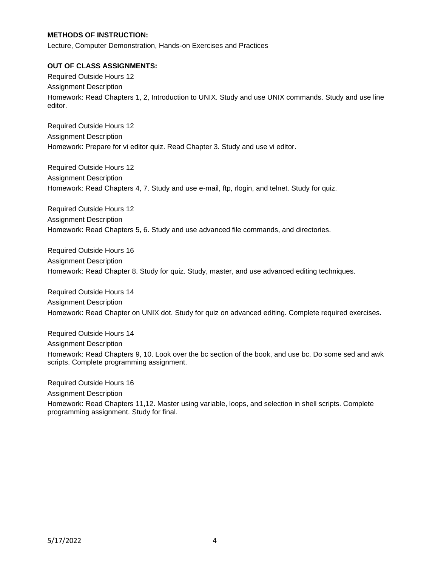## **METHODS OF INSTRUCTION:**

Lecture, Computer Demonstration, Hands-on Exercises and Practices

#### **OUT OF CLASS ASSIGNMENTS:**

Required Outside Hours 12 Assignment Description Homework: Read Chapters 1, 2, Introduction to UNIX. Study and use UNIX commands. Study and use line editor.

Required Outside Hours 12 Assignment Description Homework: Prepare for vi editor quiz. Read Chapter 3. Study and use vi editor.

Required Outside Hours 12 Assignment Description Homework: Read Chapters 4, 7. Study and use e-mail, ftp, rlogin, and telnet. Study for quiz.

Required Outside Hours 12 Assignment Description Homework: Read Chapters 5, 6. Study and use advanced file commands, and directories.

Required Outside Hours 16 Assignment Description Homework: Read Chapter 8. Study for quiz. Study, master, and use advanced editing techniques.

Required Outside Hours 14 Assignment Description Homework: Read Chapter on UNIX dot. Study for quiz on advanced editing. Complete required exercises.

Required Outside Hours 14 Assignment Description Homework: Read Chapters 9, 10. Look over the bc section of the book, and use bc. Do some sed and awk scripts. Complete programming assignment.

Required Outside Hours 16

Assignment Description

Homework: Read Chapters 11,12. Master using variable, loops, and selection in shell scripts. Complete programming assignment. Study for final.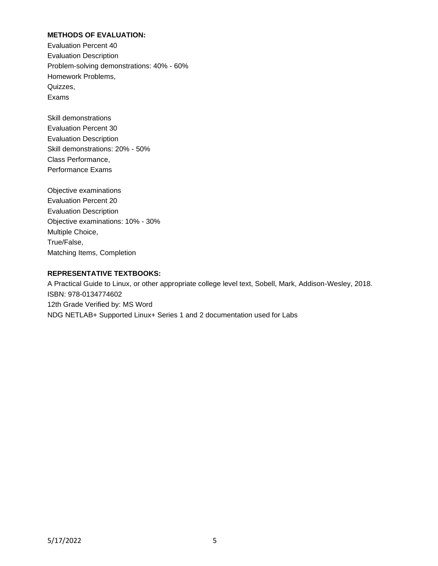## **METHODS OF EVALUATION:**

Evaluation Percent 40 Evaluation Description Problem-solving demonstrations: 40% - 60% Homework Problems, Quizzes, Exams

Skill demonstrations Evaluation Percent 30 Evaluation Description Skill demonstrations: 20% - 50% Class Performance, Performance Exams

Objective examinations Evaluation Percent 20 Evaluation Description Objective examinations: 10% - 30% Multiple Choice, True/False, Matching Items, Completion

#### **REPRESENTATIVE TEXTBOOKS:**

A Practical Guide to Linux, or other appropriate college level text, Sobell, Mark, Addison-Wesley, 2018. ISBN: 978-0134774602 12th Grade Verified by: MS Word NDG NETLAB+ Supported Linux+ Series 1 and 2 documentation used for Labs